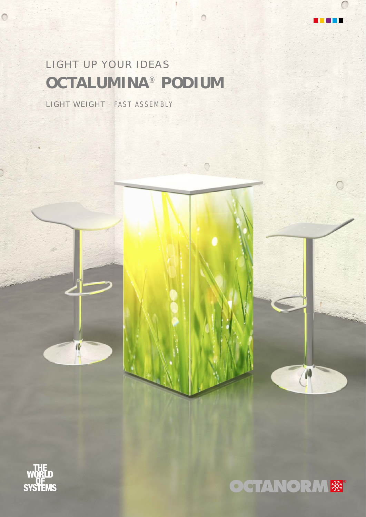# LIGHT UP YOUR IDEAS **OCTALUMINA** ® **PODIUM**

LIGHT WEIGHT · FAST ASSEMBLY

 $\bigcirc$ 



借



 $\mathcal{U}$ 

O